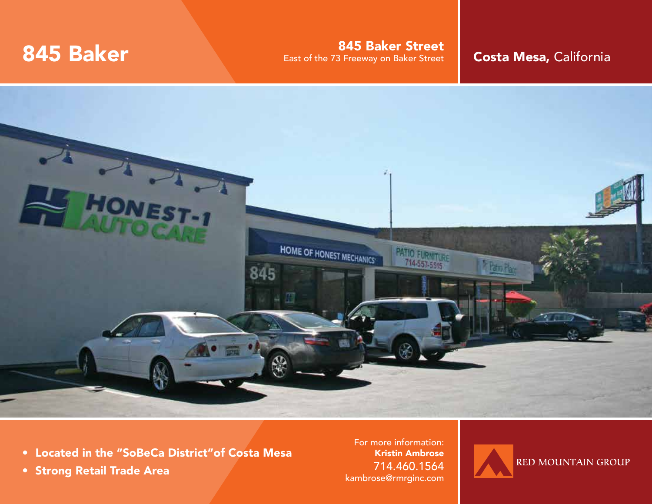**845 Baker Street 845 Baker Street 845 Baker Street 845 Baker Street 845 Baker Street 845 Baker Street 845 Baker Street 845 Baker Street 86 and Result Ave Street 86 and Result Ave Street 86 and Result Ave Street 86 and Res** 



- Located in the "SoBeCa District"of Costa Mesa
- Strong Retail Trade Area

For more information: Kristin Ambrose 714.460.1564 kambrose@rmrginc.com

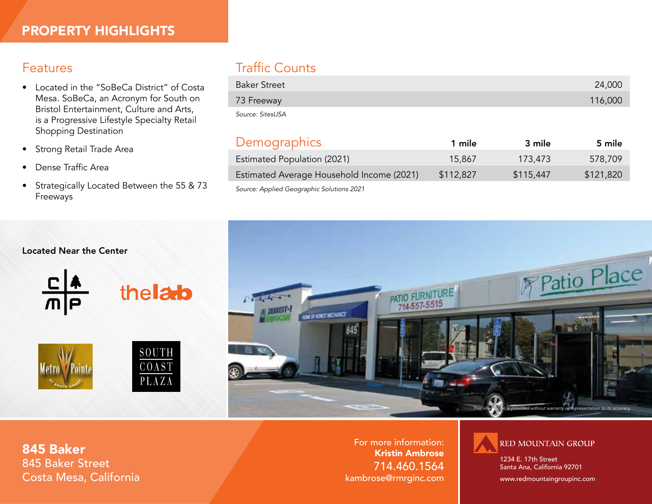#### Features

- Located in the "SoBeCa District" of Costa Mesa. SoBeCa, an Acronym for South on Bristol Entertainment, Culture and Arts, is a Progressive Lifestyle Specialty Retail Shopping Destination
- Strong Retail Trade Area
- Dense Traffic Area
- Strategically Located Between the 55 & 73 Freeways

# Traffic Counts

| <b>Baker Street</b> | 24,000  |
|---------------------|---------|
| 73 Freeway          | 116,000 |
| Source: SitesUSA    |         |

## Demographics 1 mile 3 mile 5 mile

| Estimated Population (2021)               | 15,867    | 173,473   | 578,709   |
|-------------------------------------------|-----------|-----------|-----------|
| Estimated Average Household Income (2021) | \$112,827 | \$115,447 | \$121,820 |
|                                           |           |           |           |

*Source: Applied Geographic Solutions 2021*



#### Located Near the Center







thelato

For more information: Kristin Ambrose 714.460.1564 kambrose@rmrginc.com



1234 E. 17th Street Santa Ana, California 92701

www.redmountaingroupinc.com

845 Baker 845 Baker Street Costa Mesa, California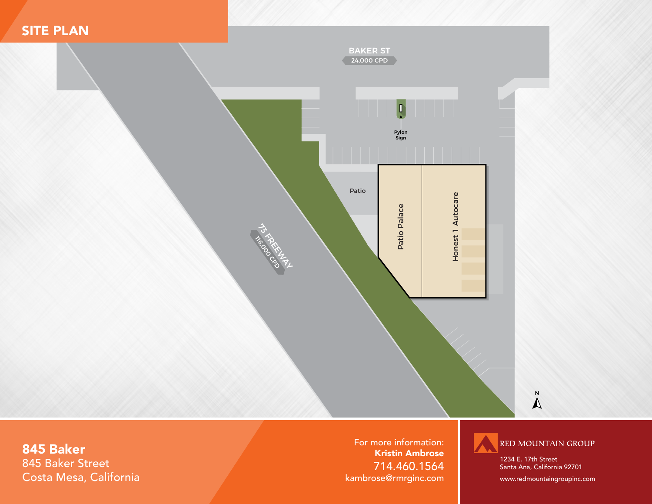



### 845 Baker 845 Baker Street Costa Mesa, California

For more information: Kristin Ambrose 714.460.1564 kambrose@rmrginc.com



1234 E. 17th Street Santa Ana, California 92701

www.redmountaingroupinc.com